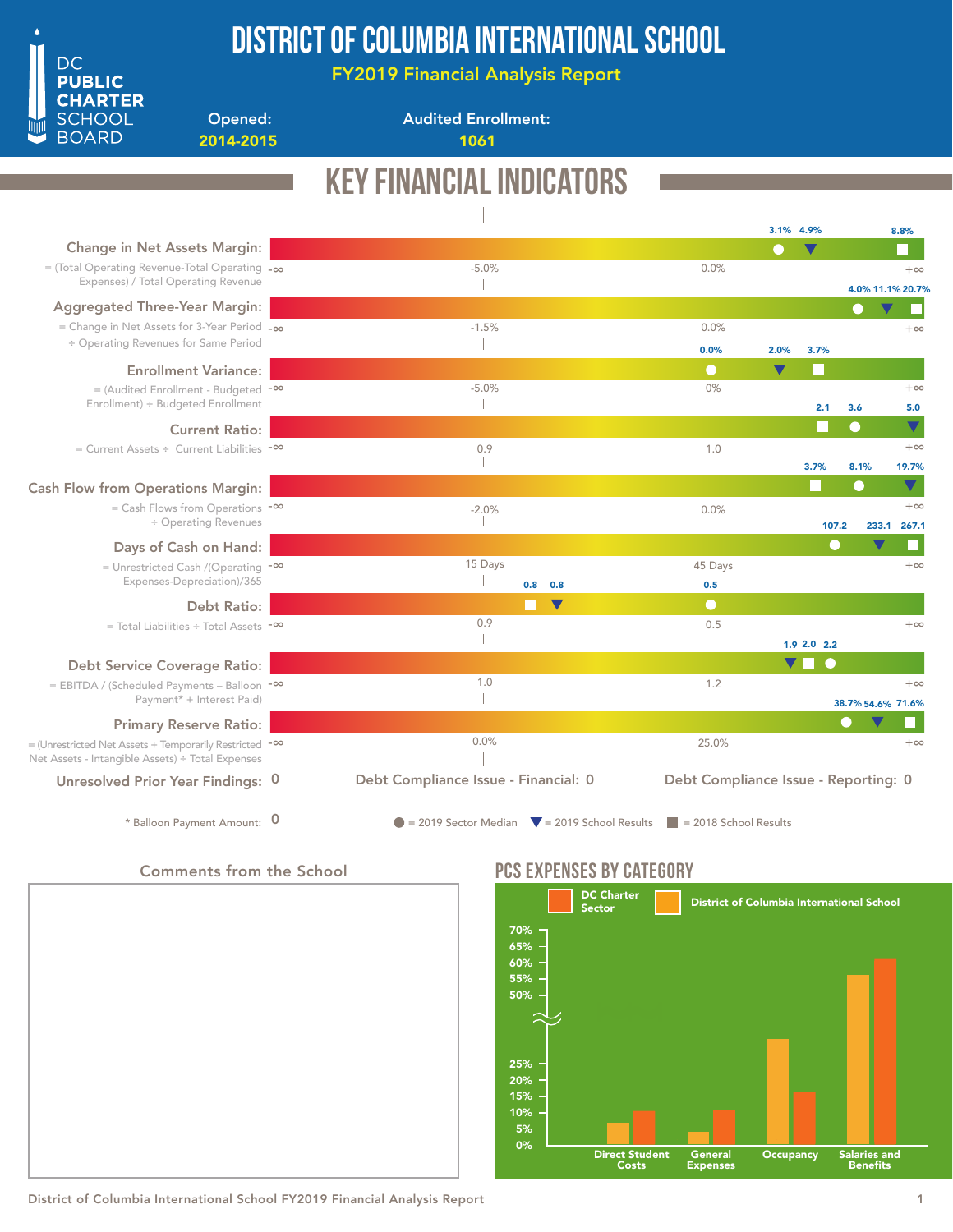

## District of Columbia International School

FY2019 Financial Analysis Report

Opened: 2014-2015 1061

Audited Enrollment:

#### Key Financial Indicators 3.1% 4.9% 4.9% 8.8% Change in Net Assets Margin: -5.0% 0.0% = (Total Operating Revenue-Total Operating -∞  $+\infty$ Expenses) / Total Operating Revenue  $\begin{array}{c} \hline \end{array}$  $\overline{\phantom{a}}$ 4.0% 11.1% 20.7% Aggregated Three-Year Margin:  $\bullet$ г -1.5% 0.0% = Change in Net Assets for 3-Year Period -∞  $+ \infty$ ÷ Operating Revenues for Same Period  $\mathbb T$ 0.0% 2.0%3.7% Enrollment Variance: = (Audited Enrollment - Budgeted <sup>-∞</sup> -5.0%  $0%$  $+\infty$ Enrollment) ÷ Budgeted Enrollment  $\mathbb{R}$  $\mathbf{I}$ 2.1 5.0 3.6  $\overline{\textbf{v}}$ Current Ratio: = Current Assets ÷ Current Liabilities -∞ 0.9 1.0 +∞ T -1 3.7% 19.7% 8.1% Cash Flow from Operations Margin: = Cash Flows from Operations -∞  $+\infty$  $-2.0\%$  $0.0\%$ ÷ Operating Revenues 107.2 233.1 267.1 П Days of Cash on Hand: 15 Days 45 Days  $+\infty$ = Unrestricted Cash /(Operating <sup>-∞</sup> Expenses-Depreciation)/365  $\begin{array}{c} \hline \end{array}$  $0.5$ 0.8 0.8 Debt Ratio:  $\blacksquare$  $\bullet$ 0.9 0.5 +∞ = Total Liabilities ÷ Total Assets -∞  $\mathcal I$  $\mathbb{I}$ 2.2 1.9 2.0  $\overline{\textbf{v}}$ Debt Service Coverage Ratio: 1.0 1.2 = EBITDA / (Scheduled Payments – Balloon <sup>-∞</sup>  $+\infty$ Payment\* + Interest Paid)  $\mathbb{I}$  $\mathbb{I}$ 38.7% 54.6% 71.6% Primary Reserve Ratio: 0.0% 25.0%  $+\infty$ = (Unrestricted Net Assets + Temporarily Restricted <sup>-∞</sup> Net Assets - Intangible Assets) ÷ Total Expenses Debt Compliance Issue - Financial: 0 Debt Compliance Issue - Reporting: 0 Unresolved Prior Year Findings: 0 \* Balloon Payment Amount:  $\overline{0}$  = 2019 Sector Median  $\overline{v}$  = 2019 School Results = 2018 School Results 0

### Comments from the School



## PCS EXPENSES BY CATEGORY